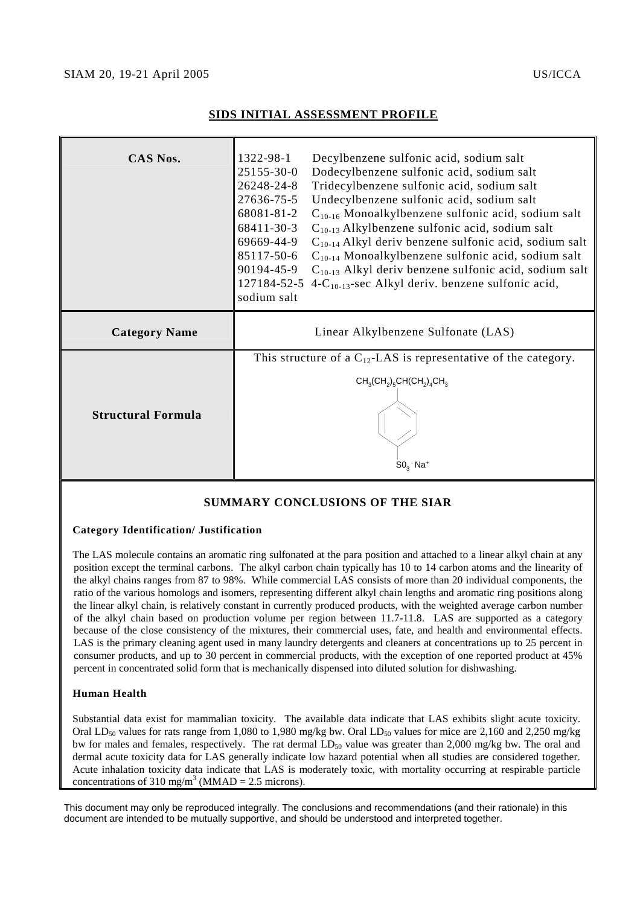## SIAM 20, 19-21 April 2005 US/ICCA

## **SIDS INITIAL ASSESSMENT PROFILE**

| CAS Nos.                  | 1322-98-1                                                            | Decylbenzene sulfonic acid, sodium salt                               |
|---------------------------|----------------------------------------------------------------------|-----------------------------------------------------------------------|
|                           | 25155-30-0                                                           | Dodecylbenzene sulfonic acid, sodium salt                             |
|                           | 26248-24-8                                                           | Tridecylbenzene sulfonic acid, sodium salt                            |
|                           | 27636-75-5                                                           | Undecylbenzene sulfonic acid, sodium salt                             |
|                           | 68081-81-2                                                           | $C_{10-16}$ Monoalkylbenzene sulfonic acid, sodium salt               |
|                           | 68411-30-3                                                           | $C_{10-13}$ Alkylbenzene sulfonic acid, sodium salt                   |
|                           | 69669-44-9                                                           | $C_{10-14}$ Alkyl deriv benzene sulfonic acid, sodium salt            |
|                           |                                                                      | 85117-50-6 $C_{10-14}$ Monoalkylbenzene sulfonic acid, sodium salt    |
|                           |                                                                      | 90194-45-9 $C_{10-13}$ Alkyl deriv benzene sulfonic acid, sodium salt |
|                           |                                                                      | 127184-52-5 4- $C_{10-13}$ -sec Alkyl deriv. benzene sulfonic acid,   |
|                           | sodium salt                                                          |                                                                       |
| <b>Category Name</b>      |                                                                      | Linear Alkylbenzene Sulfonate (LAS)                                   |
|                           |                                                                      |                                                                       |
|                           | This structure of a $C_{12}$ -LAS is representative of the category. |                                                                       |
|                           | $CH_3(CH_2)_5CH(CH_2)_4CH_3$                                         |                                                                       |
|                           |                                                                      |                                                                       |
| <b>Structural Formula</b> |                                                                      |                                                                       |
|                           |                                                                      |                                                                       |
|                           |                                                                      |                                                                       |
|                           |                                                                      | $SO_{3}$ Na <sup>+</sup>                                              |

# **SUMMARY CONCLUSIONS OF THE SIAR**

### **Category Identification/ Justification**

The LAS molecule contains an aromatic ring sulfonated at the para position and attached to a linear alkyl chain at any position except the terminal carbons. The alkyl carbon chain typically has 10 to 14 carbon atoms and the linearity of the alkyl chains ranges from 87 to 98%. While commercial LAS consists of more than 20 individual components, the ratio of the various homologs and isomers, representing different alkyl chain lengths and aromatic ring positions along the linear alkyl chain, is relatively constant in currently produced products, with the weighted average carbon number of the alkyl chain based on production volume per region between 11.7-11.8. LAS are supported as a category because of the close consistency of the mixtures, their commercial uses, fate, and health and environmental effects. LAS is the primary cleaning agent used in many laundry detergents and cleaners at concentrations up to 25 percent in consumer products, and up to 30 percent in commercial products, with the exception of one reported product at 45% percent in concentrated solid form that is mechanically dispensed into diluted solution for dishwashing.

### **Human Health**

Substantial data exist for mammalian toxicity. The available data indicate that LAS exhibits slight acute toxicity. Oral LD<sub>50</sub> values for rats range from 1,080 to 1,980 mg/kg bw. Oral LD<sub>50</sub> values for mice are 2,160 and 2,250 mg/kg bw for males and females, respectively. The rat dermal  $LD_{50}$  value was greater than 2,000 mg/kg bw. The oral and dermal acute toxicity data for LAS generally indicate low hazard potential when all studies are considered together. Acute inhalation toxicity data indicate that LAS is moderately toxic, with mortality occurring at respirable particle concentrations of 310 mg/m<sup>3</sup> (MMAD = 2.5 microns).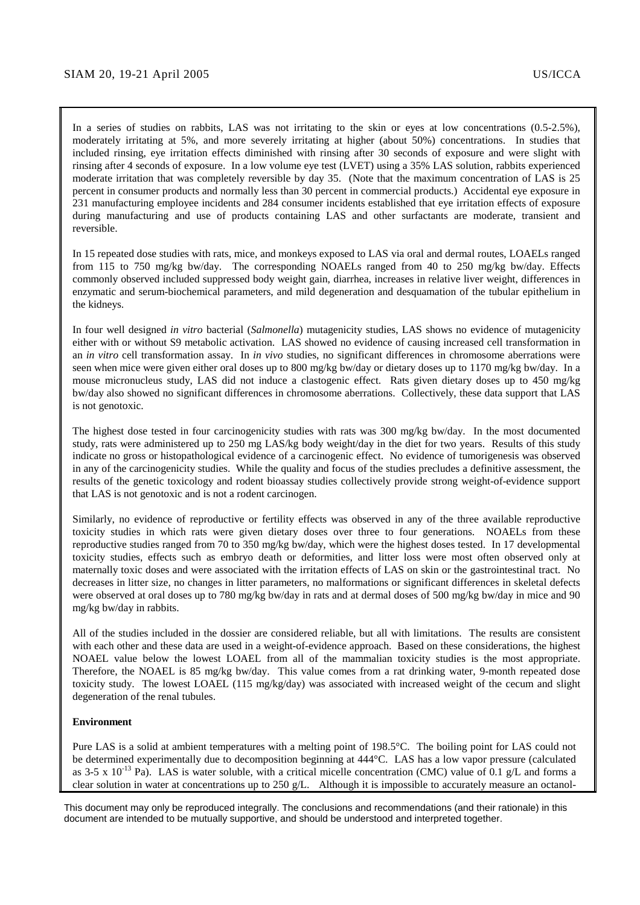In a series of studies on rabbits, LAS was not irritating to the skin or eyes at low concentrations  $(0.5-2.5\%)$ , moderately irritating at 5%, and more severely irritating at higher (about 50%) concentrations. In studies that included rinsing, eye irritation effects diminished with rinsing after 30 seconds of exposure and were slight with rinsing after 4 seconds of exposure. In a low volume eye test (LVET) using a 35% LAS solution, rabbits experienced moderate irritation that was completely reversible by day 35. (Note that the maximum concentration of LAS is 25 percent in consumer products and normally less than 30 percent in commercial products.) Accidental eye exposure in 231 manufacturing employee incidents and 284 consumer incidents established that eye irritation effects of exposure during manufacturing and use of products containing LAS and other surfactants are moderate, transient and reversible.

In 15 repeated dose studies with rats, mice, and monkeys exposed to LAS via oral and dermal routes, LOAELs ranged from 115 to 750 mg/kg bw/day. The corresponding NOAELs ranged from 40 to 250 mg/kg bw/day. Effects commonly observed included suppressed body weight gain, diarrhea, increases in relative liver weight, differences in enzymatic and serum-biochemical parameters, and mild degeneration and desquamation of the tubular epithelium in the kidneys.

In four well designed *in vitro* bacterial (*Salmonella*) mutagenicity studies, LAS shows no evidence of mutagenicity either with or without S9 metabolic activation. LAS showed no evidence of causing increased cell transformation in an *in vitro* cell transformation assay. In *in vivo* studies, no significant differences in chromosome aberrations were seen when mice were given either oral doses up to 800 mg/kg bw/day or dietary doses up to 1170 mg/kg bw/day. In a mouse micronucleus study, LAS did not induce a clastogenic effect. Rats given dietary doses up to 450 mg/kg bw/day also showed no significant differences in chromosome aberrations. Collectively, these data support that LAS is not genotoxic.

The highest dose tested in four carcinogenicity studies with rats was 300 mg/kg bw/day. In the most documented study, rats were administered up to 250 mg LAS/kg body weight/day in the diet for two years. Results of this study indicate no gross or histopathological evidence of a carcinogenic effect. No evidence of tumorigenesis was observed in any of the carcinogenicity studies. While the quality and focus of the studies precludes a definitive assessment, the results of the genetic toxicology and rodent bioassay studies collectively provide strong weight-of-evidence support that LAS is not genotoxic and is not a rodent carcinogen.

Similarly, no evidence of reproductive or fertility effects was observed in any of the three available reproductive toxicity studies in which rats were given dietary doses over three to four generations. NOAELs from these reproductive studies ranged from 70 to 350 mg/kg bw/day, which were the highest doses tested. In 17 developmental toxicity studies, effects such as embryo death or deformities, and litter loss were most often observed only at maternally toxic doses and were associated with the irritation effects of LAS on skin or the gastrointestinal tract. No decreases in litter size, no changes in litter parameters, no malformations or significant differences in skeletal defects were observed at oral doses up to 780 mg/kg bw/day in rats and at dermal doses of 500 mg/kg bw/day in mice and 90 mg/kg bw/day in rabbits.

All of the studies included in the dossier are considered reliable, but all with limitations. The results are consistent with each other and these data are used in a weight-of-evidence approach. Based on these considerations, the highest NOAEL value below the lowest LOAEL from all of the mammalian toxicity studies is the most appropriate. Therefore, the NOAEL is 85 mg/kg bw/day. This value comes from a rat drinking water, 9-month repeated dose toxicity study. The lowest LOAEL (115 mg/kg/day) was associated with increased weight of the cecum and slight degeneration of the renal tubules.

#### **Environment**

Pure LAS is a solid at ambient temperatures with a melting point of 198.5°C. The boiling point for LAS could not be determined experimentally due to decomposition beginning at 444°C. LAS has a low vapor pressure (calculated as 3-5 x 10<sup>-13</sup> Pa). LAS is water soluble, with a critical micelle concentration (CMC) value of 0.1 g/L and forms a clear solution in water at concentrations up to 250 g/L. Although it is impossible to accurately measure an octanol-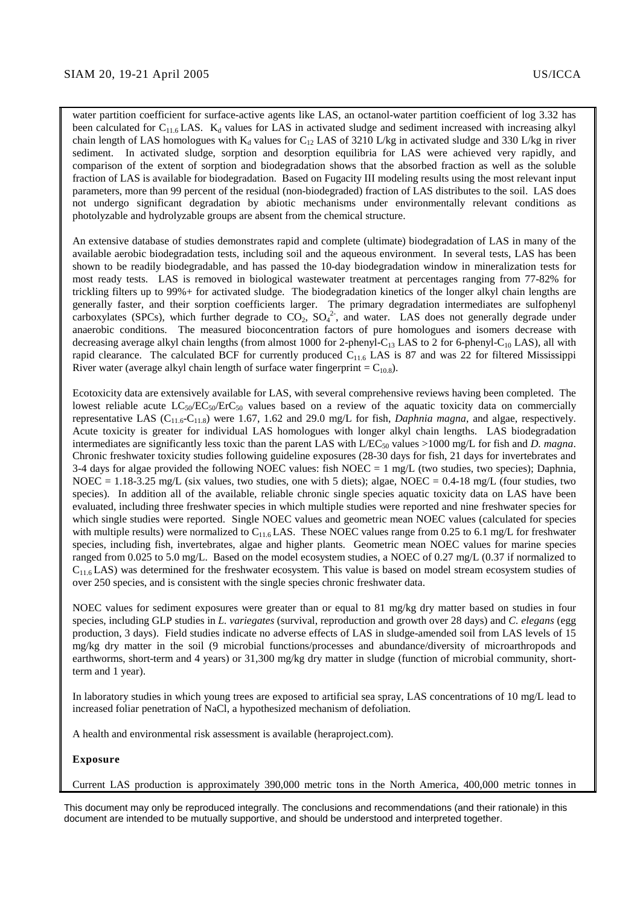water partition coefficient for surface-active agents like LAS, an octanol-water partition coefficient of log 3.32 has been calculated for  $C_{11.6}$  LAS.  $K_d$  values for LAS in activated sludge and sediment increased with increasing alkyl chain length of LAS homologues with  $K_d$  values for C<sub>12</sub> LAS of 3210 L/kg in activated sludge and 330 L/kg in river sediment. In activated sludge, sorption and desorption equilibria for LAS were achieved very rapidly, and comparison of the extent of sorption and biodegradation shows that the absorbed fraction as well as the soluble fraction of LAS is available for biodegradation. Based on Fugacity III modeling results using the most relevant input parameters, more than 99 percent of the residual (non-biodegraded) fraction of LAS distributes to the soil. LAS does not undergo significant degradation by abiotic mechanisms under environmentally relevant conditions as photolyzable and hydrolyzable groups are absent from the chemical structure.

An extensive database of studies demonstrates rapid and complete (ultimate) biodegradation of LAS in many of the available aerobic biodegradation tests, including soil and the aqueous environment. In several tests, LAS has been shown to be readily biodegradable, and has passed the 10-day biodegradation window in mineralization tests for most ready tests.LAS is removed in biological wastewater treatment at percentages ranging from 77-82% for trickling filters up to 99%+ for activated sludge. The biodegradation kinetics of the longer alkyl chain lengths are generally faster, and their sorption coefficients larger. The primary degradation intermediates are sulfophenyl carboxylates (SPCs), which further degrade to  $CO_2$ ,  $SO_4^2$ , and water. LAS does not generally degrade under anaerobic conditions. The measured bioconcentration factors of pure homologues and isomers decrease with decreasing average alkyl chain lengths (from almost 1000 for 2-phenyl-C<sub>13</sub> LAS to 2 for 6-phenyl-C<sub>10</sub> LAS), all with rapid clearance. The calculated BCF for currently produced  $C_{11.6}$  LAS is 87 and was 22 for filtered Mississippi River water (average alkyl chain length of surface water fingerprint =  $C_{10.8}$ ).

Ecotoxicity data are extensively available for LAS, with several comprehensive reviews having been completed. The lowest reliable acute  $LC_{50}/EC_{50}/EC_{50}$  values based on a review of the aquatic toxicity data on commercially representative LAS ( $C_{11.6}$ - $C_{11.8}$ ) were 1.67, 1.62 and 29.0 mg/L for fish, *Daphnia magna*, and algae, respectively. Acute toxicity is greater for individual LAS homologues with longer alkyl chain lengths. LAS biodegradation intermediates are significantly less toxic than the parent LAS with  $L/EC_{50}$  values >1000 mg/L for fish and *D. magna*. Chronic freshwater toxicity studies following guideline exposures (28-30 days for fish, 21 days for invertebrates and 3-4 days for algae provided the following NOEC values: fish NOEC = 1 mg/L (two studies, two species); Daphnia, NOEC = 1.18-3.25 mg/L (six values, two studies, one with 5 diets); algae, NOEC = 0.4-18 mg/L (four studies, two species). In addition all of the available, reliable chronic single species aquatic toxicity data on LAS have been evaluated, including three freshwater species in which multiple studies were reported and nine freshwater species for which single studies were reported. Single NOEC values and geometric mean NOEC values (calculated for species with multiple results) were normalized to  $C_{11.6}$  LAS. These NOEC values range from 0.25 to 6.1 mg/L for freshwater species, including fish, invertebrates, algae and higher plants. Geometric mean NOEC values for marine species ranged from 0.025 to 5.0 mg/L. Based on the model ecosystem studies, a NOEC of 0.27 mg/L (0.37 if normalized to  $C_{11.6}$  LAS) was determined for the freshwater ecosystem. This value is based on model stream ecosystem studies of over 250 species, and is consistent with the single species chronic freshwater data.

NOEC values for sediment exposures were greater than or equal to 81 mg/kg dry matter based on studies in four species, including GLP studies in *L. variegates* (survival, reproduction and growth over 28 days) and *C. elegans* (egg production, 3 days). Field studies indicate no adverse effects of LAS in sludge-amended soil from LAS levels of 15 mg/kg dry matter in the soil (9 microbial functions/processes and abundance/diversity of microarthropods and earthworms, short-term and 4 years) or 31,300 mg/kg dry matter in sludge (function of microbial community, shortterm and 1 year).

In laboratory studies in which young trees are exposed to artificial sea spray, LAS concentrations of 10 mg/L lead to increased foliar penetration of NaCl, a hypothesized mechanism of defoliation.

A health and environmental risk assessment is available (heraproject.com).

#### **Exposure**

Current LAS production is approximately 390,000 metric tons in the North America, 400,000 metric tonnes in